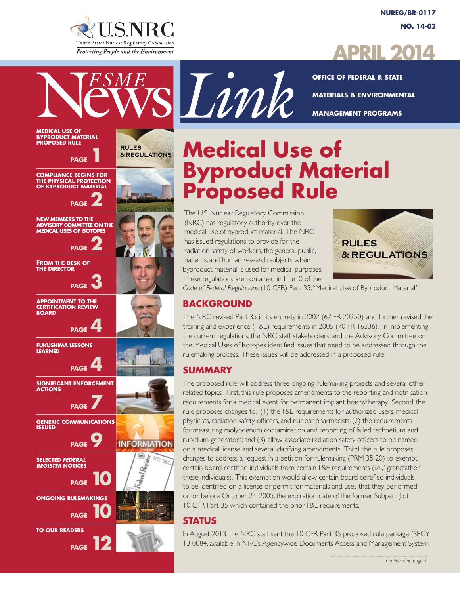

**RULES** 

& REGULATIONS

**INFORMATION** 

**MEDICAL USE OF BYPRODUCT MATERIAL PROPOSED RULE**

**PAGE** 

**PAGE** 

**PAGE** 

**PAGE** 

**PAGE** 

 **PAGE** 

**SIGNIFICANT ENFORCEMENT** 

**GENERIC COMMUNICATIONS** 

**SELECTED** *FEDERAL REGISTER* **NOTICES**

**TO OUR READERS**

**ONGOING RULEMAKINGS**

*PAGE* 10

**PAGE** 12

**PAGE** 

**PAGE** 

**PAGE** 10

**COMPLIANCE BEGINS FOR THE PHYSICAL PROTECTION OF BYPRODUCT MATERIAL** 

**NEW MEMBERS TO THE ADVISORY COMMITTEE ON THE MEDICAL USES OF ISOTOPES**

**FROM THE DESK OF THE DIRECTOR**

**APPOINTMENT TO THE CERTIFICATION REVIEW** 

**FUKUSHIMA LESSONS** 

**BOARD** 

**LEARNED**

**ACTIONS** 

**ISSUED**

**NUREG/BR-0117 NO. 14-02**



**OFFICE OF FEDERAL & STATE MATERIALS & ENVIRONMENTAL MANAGEMENT PROGRAMS**

# **Medical Use of Byproduct Material Proposed Rule**

The U.S. Nuclear Regulatory Commission (NRC) has regulatory authority over the medical use of byproduct material. The NRC has issued regulations to provide for the radiation safety of workers, the general public, patients, and human research subjects when byproduct material is used for medical purposes. These regulations are contained in Title10 of the

Link



*Code of Federal Regulations* (10 CFR) Part 35, "Medical Use of Byproduct Material."

### **BACKGROUND**

The NRC revised Part 35 in its entirety in 2002 (67 FR 20250), and further revised the training and experience (T&E) requirements in 2005 (70 FR 16336). In implementing the current regulations, the NRC staff, stakeholders, and the Advisory Committee on the Medical Uses of Isotopes identified issues that need to be addressed through the rulemaking process. These issues will be addressed in a proposed rule.

### **SUMMARY**

The proposed rule will address three ongoing rulemaking projects and several other related topics. First, this rule proposes amendments to the reporting and notification requirements for a medical event for permanent implant brachytherapy. Second, the rule proposes changes to: (1) the T&E requirements for authorized users, medical physicists, radiation safety officers, and nuclear pharmacists; (2) the requirements for measuring molybdenum contamination and reporting of failed technetium and rubidium generators; and (3) allow associate radiation safety officers to be named on a medical license and several clarifying amendments. Third, the rule proposes changes to address a request in a petition for rulemaking (PRM 35 20) to exempt certain board certified individuals from certain T&E requirements (i.e., "grandfather" these individuals). This exemption would allow certain board certified individuals to be identified on a license or permit for materials and uses that they performed on or before October 24, 2005, the expiration date of the former Subpart J of 10 CFR Part 35 which contained the prior T&E requirements.

### **STATUS**

In August 2013, the NRC staff sent the 10 CFR Part 35 proposed rule package (SECY 13 0084, available in NRC's Agencywide Documents Access and Management System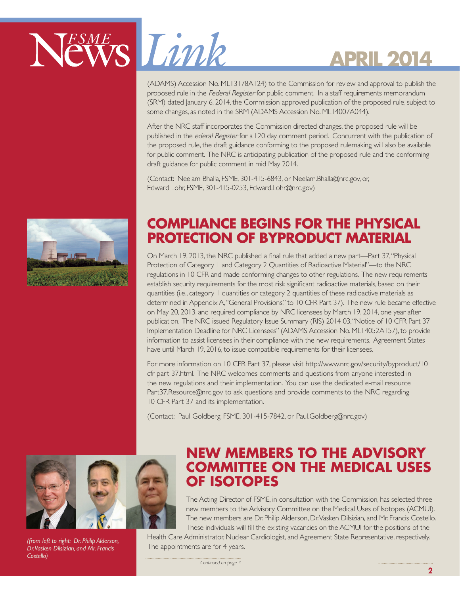

(ADAMS) Accession No. ML13178A124) to the Commission for review and approval to publish the proposed rule in the Federal Register for public comment. In a staff requirements memorandum (SRM) dated January 6, 2014, the Commission approved publication of the proposed rule, subject to some changes, as noted in the SRM (ADAMS Accession No. ML14007A044).

After the NRC staff incorporates the Commission directed changes, the proposed rule will be published in the ederal Register for a 120 day comment period. Concurrent with the publication of the proposed rule, the draft guidance conforming to the proposed rulemaking will also be available for public comment. The NRC is anticipating publication of the proposed rule and the conforming draft guidance for public comment in mid May 2014.

(Contact: Neelam Bhalla, FSME, 301-415-6843, or Neelam.Bhalla@nrc.gov, or, Edward Lohr, FSME, 301-415-0253, Edward.Lohr@nrc.gov)



### **COMPLIANCE BEGINS FOR THE PHYSICAL PROTECTION OF BYPRODUCT MATERIAL**

On March 19, 2013, the NRC published a final rule that added a new part—Part 37, "Physical Protection of Category 1 and Category 2 Quantities of Radioactive Material"—to the NRC regulations in 10 CFR and made conforming changes to other regulations. The new requirements establish security requirements for the most risk significant radioactive materials, based on their quantities (i.e., category 1 quantities or category 2 quantities of these radioactive materials as determined in Appendix A, "General Provisions," to 10 CFR Part 37). The new rule became effective on May 20, 2013, and required compliance by NRC licensees by March 19, 2014, one year after publication. The NRC issued Regulatory Issue Summary (RIS) 2014 03, "Notice of 10 CFR Part 37 Implementation Deadline for NRC Licensees" (ADAMS Accession No. ML14052A157), to provide information to assist licensees in their compliance with the new requirements. Agreement States have until March 19, 2016, to issue compatible requirements for their licensees.

For more information on 10 CFR Part 37, please visit http://www.nrc.gov/security/byproduct/10 cfr part 37.html. The NRC welcomes comments and questions from anyone interested in the new regulations and their implementation. You can use the dedicated e-mail resource Part37.Resource@nrc.gov to ask questions and provide comments to the NRC regarding 10 CFR Part 37 and its implementation.

(Contact: Paul Goldberg, FSME, 301-415-7842, or Paul.Goldberg@nrc.gov)



*(from left to right: Dr. Philip Alderson, Dr. Vasken Dilsizian, and Mr. Francis Costello)*

### **NEW MEMBERS TO THE ADVISORY COMMITTEE ON THE MEDICAL USES OF ISOTOPES**

The Acting Director of FSME, in consultation with the Commission, has selected three new members to the Advisory Committee on the Medical Uses of Isotopes (ACMUI). The new members are Dr. Philip Alderson, Dr. Vasken Dilsizian, and Mr. Francis Costello. These individuals will fill the existing vacancies on the ACMUI for the positions of the

Health Care Administrator, Nuclear Cardiologist, and Agreement State Representative, respectively. The appointments are for 4 years.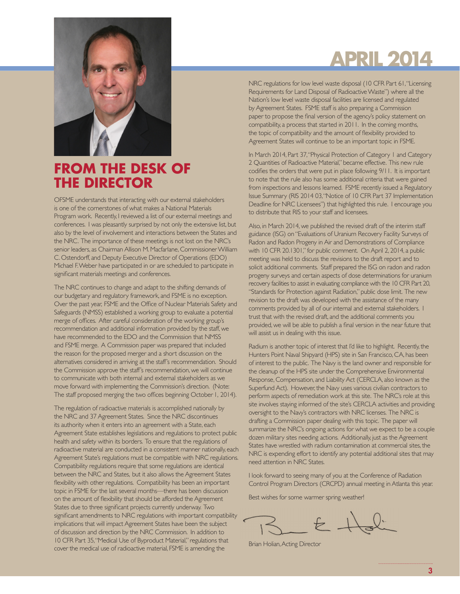

### **FROM THE DESK OF THE DIRECTOR**

OFSME understands that interacting with our external stakeholders is one of the cornerstones of what makes a National Materials Program work. Recently, I reviewed a list of our external meetings and conferences. I was pleasantly surprised by not only the extensive list, but also by the level of involvement and interactions between the States and the NRC. The importance of these meetings is not lost on the NRC's senior leaders, as Chairman Allison M. Macfarlane, Commissioner William C. Ostendorff, and Deputy Executive Director of Operations (EDO) Michael F. Weber have participated in or are scheduled to participate in significant materials meetings and conferences.

The NRC continues to change and adapt to the shifting demands of our budgetary and regulatory framework, and FSME is no exception. Over the past year, FSME and the Office of Nuclear Materials Safety and Safeguards (NMSS) established a working group to evaluate a potential merge of offices. After careful consideration of the working group's recommendation and additional information provided by the staff, we have recommended to the EDO and the Commission that NMSS and FSME merge. A Commission paper was prepared that included the reason for the proposed merger and a short discussion on the alternatives considered in arriving at the staff's recommendation. Should the Commission approve the staff's recommendation, we will continue to communicate with both internal and external stakeholders as we move forward with implementing the Commission's direction. (Note: The staff proposed merging the two offices beginning October 1, 2014).

The regulation of radioactive materials is accomplished nationally by the NRC and 37 Agreement States. Since the NRC discontinues its authority when it enters into an agreement with a State, each Agreement State establishes legislations and regulations to protect public health and safety within its borders. To ensure that the regulations of radioactive material are conducted in a consistent manner nationally, each Agreement State's regulations must be compatible with NRC regulations. Compatibility regulations require that some regulations are identical between the NRC and States, but it also allows the Agreement States flexibility with other regulations. Compatibility has been an important topic in FSME for the last several months—there has been discussion on the amount of flexibility that should be afforded the Agreement States due to three significant projects currently underway. Two significant amendments to NRC regulations with important compatibility implications that will impact Agreement States have been the subject of discussion and direction by the NRC Commission. In addition to 10 CFR Part 35, "Medical Use of Byproduct Material," regulations that cover the medical use of radioactive material, FSME is amending the

# **APRIL 2014**

NRC regulations for low level waste disposal (10 CFR Part 61, "Licensing Requirements for Land Disposal of Radioactive Waste") where all the Nation's low level waste disposal facilities are licensed and regulated by Agreement States. FSME staff is also preparing a Commission paper to propose the final version of the agency's policy statement on compatibility, a process that started in 2011. In the coming months, the topic of compatibility and the amount of flexibility provided to Agreement States will continue to be an important topic in FSME.

In March 2014, Part 37, "Physical Protection of Category 1 and Category 2 Quantities of Radioactive Material," became effective. This new rule codifies the orders that were put in place following 9/11. It is important to note that the rule also has some additional criteria that were gained from inspections and lessons learned. FSME recently issued a Regulatory Issue Summary (RIS 2014 03, "Notice of 10 CFR Part 37 Implementation Deadline for NRC Licensees") that highlighted this rule. I encourage you to distribute that RIS to your staff and licensees.

Also, in March 2014, we published the revised draft of the interim staff guidance (ISG) on "Evaluations of Uranium Recovery Facility Surveys of Radon and Radon Progeny in Air and Demonstrations of Compliance with 10 CFR 20.1301," for public comment. On April 2, 2014, a public meeting was held to discuss the revisions to the draft report and to solicit additional comments. Staff prepared the ISG on radon and radon progeny surveys and certain aspects of dose determinations for uranium recovery facilities to assist in evaluating compliance with the 10 CFR Part 20, "Standards for Protection against Radiation," public dose limit. The new revision to the draft was developed with the assistance of the many comments provided by all of our internal and external stakeholders. I trust that with the revised draft, and the additional comments you provided, we will be able to publish a final version in the near future that will assist us in dealing with this issue.

Radium is another topic of interest that I'd like to highlight. Recently, the Hunters Point Naval Shipyard (HPS) site in San Francisco, CA, has been of interest to the public. The Navy is the land owner and responsible for the cleanup of the HPS site under the Comprehensive Environmental Response, Compensation, and Liability Act (CERCLA, also known as the Superfund Act). However, the Navy uses various civilian contractors to perform aspects of remediation work at this site. The NRC's role at this site involves staying informed of the site's CERCLA activities and providing oversight to the Navy's contractors with NRC licenses. The NRC is drafting a Commission paper dealing with this topic. The paper will summarize the NRC's ongoing actions for what we expect to be a couple dozen military sites needing actions. Additionally, just as the Agreement States have wrestled with radium contamination at commercial sites, the NRC is expending effort to identify any potential additional sites that may need attention in NRC States.

I look forward to seeing many of you at the Conference of Radiation Control Program Directors (CRCPD) annual meeting in Atlanta this year.

Best wishes for some warmer spring weather!

Brian Holian, Acting Director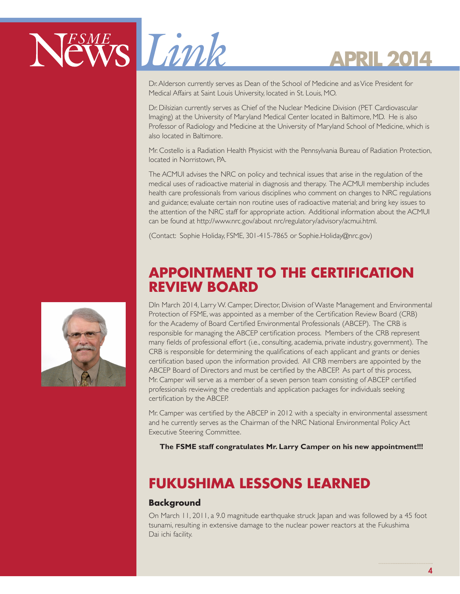

Dr. Alderson currently serves as Dean of the School of Medicine and as Vice President for Medical Affairs at Saint Louis University, located in St. Louis, MO.

Dr. Dilsizian currently serves as Chief of the Nuclear Medicine Division (PET Cardiovascular Imaging) at the University of Maryland Medical Center located in Baltimore, MD. He is also Professor of Radiology and Medicine at the University of Maryland School of Medicine, which is also located in Baltimore.

Mr. Costello is a Radiation Health Physicist with the Pennsylvania Bureau of Radiation Protection, located in Norristown, PA.

The ACMUI advises the NRC on policy and technical issues that arise in the regulation of the medical uses of radioactive material in diagnosis and therapy. The ACMUI membership includes health care professionals from various disciplines who comment on changes to NRC regulations and guidance; evaluate certain non routine uses of radioactive material; and bring key issues to the attention of the NRC staff for appropriate action. Additional information about the ACMUI can be found at http://www.nrc.gov/about nrc/regulatory/advisory/acmui.html.

(Contact: Sophie Holiday, FSME, 301-415-7865 or Sophie.Holiday@nrc.gov)

### **APPOINTMENT TO THE CERTIFICATION REVIEW BOARD**

DIn March 2014, Larry W. Camper, Director, Division of Waste Management and Environmental Protection of FSME, was appointed as a member of the Certification Review Board (CRB) for the Academy of Board Certified Environmental Professionals (ABCEP). The CRB is responsible for managing the ABCEP certification process. Members of the CRB represent many fields of professional effort (i.e., consulting, academia, private industry, government). The CRB is responsible for determining the qualifications of each applicant and grants or denies certification based upon the information provided. All CRB members are appointed by the ABCEP Board of Directors and must be certified by the ABCEP. As part of this process, Mr. Camper will serve as a member of a seven person team consisting of ABCEP certified professionals reviewing the credentials and application packages for individuals seeking certification by the ABCEP.

Mr. Camper was certified by the ABCEP in 2012 with a specialty in environmental assessment and he currently serves as the Chairman of the NRC National Environmental Policy Act Executive Steering Committee.

**The FSME staff congratulates Mr. Larry Camper on his new appointment!!!**

### **FUKUSHIMA LESSONS LEARNED**

### **Background**

On March 11, 2011, a 9.0 magnitude earthquake struck Japan and was followed by a 45 foot tsunami, resulting in extensive damage to the nuclear power reactors at the Fukushima Dai ichi facility.

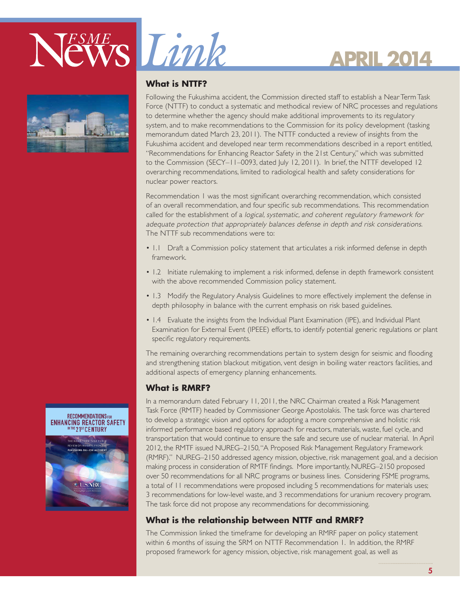





#### **What is NTTF?**

Following the Fukushima accident, the Commission directed staff to establish a Near Term Task Force (NTTF) to conduct a systematic and methodical review of NRC processes and regulations to determine whether the agency should make additional improvements to its regulatory system, and to make recommendations to the Commission for its policy development (tasking memorandum dated March 23, 2011). The NTTF conducted a review of insights from the Fukushima accident and developed near term recommendations described in a report entitled, "Recommendations for Enhancing Reactor Safety in the 21st Century," which was submitted to the Commission (SECY–11–0093, dated July 12, 2011). In brief, the NTTF developed 12 overarching recommendations, limited to radiological health and safety considerations for nuclear power reactors.

Recommendation 1 was the most significant overarching recommendation, which consisted of an overall recommendation, and four specific sub recommendations. This recommendation called for the establishment of a logical, systematic, and coherent regulatory framework for adequate protection that appropriately balances defense in depth and risk considerations. The NTTF sub recommendations were to:

- 1.1 Draft a Commission policy statement that articulates a risk informed defense in depth framework.
- 1.2 Initiate rulemaking to implement a risk informed, defense in depth framework consistent with the above recommended Commission policy statement.
- 1.3 Modify the Regulatory Analysis Guidelines to more effectively implement the defense in depth philosophy in balance with the current emphasis on risk based guidelines.
- 1.4 Evaluate the insights from the Individual Plant Examination (IPE), and Individual Plant Examination for External Event (IPEEE) efforts, to identify potential generic regulations or plant specific regulatory requirements.

The remaining overarching recommendations pertain to system design for seismic and flooding and strengthening station blackout mitigation, vent design in boiling water reactors facilities, and additional aspects of emergency planning enhancements.

#### **What is RMRF?**

In a memorandum dated February 11, 2011, the NRC Chairman created a Risk Management Task Force (RMTF) headed by Commissioner George Apostolakis. The task force was chartered to develop a strategic vision and options for adopting a more comprehensive and holistic risk informed performance based regulatory approach for reactors, materials, waste, fuel cycle, and transportation that would continue to ensure the safe and secure use of nuclear material. In April 2012, the RMTF issued NUREG–2150, "A Proposed Risk Management Regulatory Framework (RMRF)." NUREG–2150 addressed agency mission, objective, risk management goal, and a decision making process in consideration of RMTF findings. More importantly, NUREG–2150 proposed over 50 recommendations for all NRC programs or business lines. Considering FSME programs, a total of 11 recommendations were proposed including 5 recommendations for materials uses; 3 recommendations for low-level waste, and 3 recommendations for uranium recovery program. The task force did not propose any recommendations for decommissioning.

### **What is the relationship between NTTF and RMRF?**

The Commission linked the timeframe for developing an RMRF paper on policy statement within 6 months of issuing the SRM on NTTF Recommendation 1. In addition, the RMRF proposed framework for agency mission, objective, risk management goal, as well as



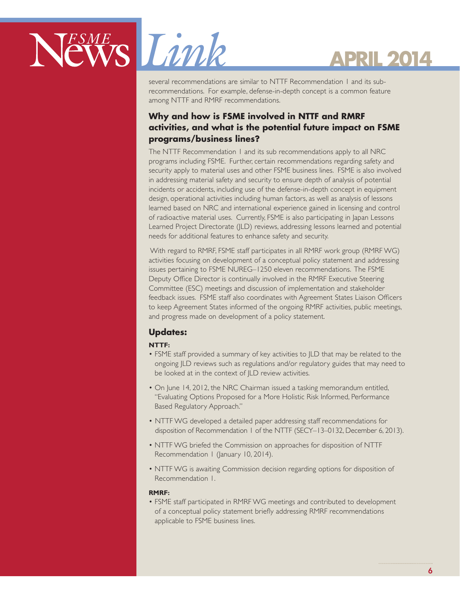

several recommendations are similar to NTTF Recommendation 1 and its subrecommendations. For example, defense-in-depth concept is a common feature among NTTF and RMRF recommendations.

### **Why and how is FSME involved in NTTF and RMRF activities, and what is the potential future impact on FSME programs/business lines?**

The NTTF Recommendation 1 and its sub recommendations apply to all NRC programs including FSME. Further, certain recommendations regarding safety and security apply to material uses and other FSME business lines. FSME is also involved in addressing material safety and security to ensure depth of analysis of potential incidents or accidents, including use of the defense-in-depth concept in equipment design, operational activities including human factors, as well as analysis of lessons learned based on NRC and international experience gained in licensing and control of radioactive material uses. Currently, FSME is also participating in Japan Lessons Learned Project Directorate (JLD) reviews, addressing lessons learned and potential needs for additional features to enhance safety and security.

 With regard to RMRF, FSME staff participates in all RMRF work group (RMRF WG) activities focusing on development of a conceptual policy statement and addressing issues pertaining to FSME NUREG–1250 eleven recommendations. The FSME Deputy Office Director is continually involved in the RMRF Executive Steering Committee (ESC) meetings and discussion of implementation and stakeholder feedback issues. FSME staff also coordinates with Agreement States Liaison Officers to keep Agreement States informed of the ongoing RMRF activities, public meetings, and progress made on development of a policy statement.

### **Updates:**

#### **NTTF:**

- FSME staff provided a summary of key activities to JLD that may be related to the ongoing JLD reviews such as regulations and/or regulatory guides that may need to be looked at in the context of JLD review activities.
- On June 14, 2012, the NRC Chairman issued a tasking memorandum entitled, "Evaluating Options Proposed for a More Holistic Risk Informed, Performance Based Regulatory Approach."
- NTTF WG developed a detailed paper addressing staff recommendations for disposition of Recommendation 1 of the NTTF (SECY–13–0132, December 6, 2013).
- NTTF WG briefed the Commission on approaches for disposition of NTTF Recommendation | (January 10, 2014).
- NTTF WG is awaiting Commission decision regarding options for disposition of Recommendation 1.

#### **RMRF:**

• FSME staff participated in RMRF WG meetings and contributed to development of a conceptual policy statement briefly addressing RMRF recommendations applicable to FSME business lines.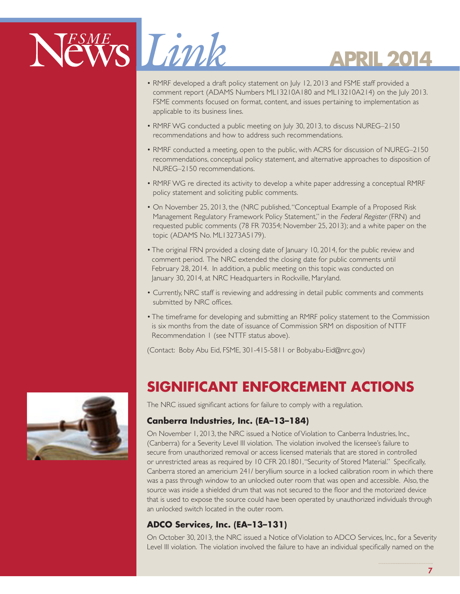# NEWS Limk

# **APRIL 2014**

- RMRF developed a draft policy statement on July 12, 2013 and FSME staff provided a comment report (ADAMS Numbers ML13210A180 and ML13210A214) on the July 2013. FSME comments focused on format, content, and issues pertaining to implementation as applicable to its business lines.
- RMRF WG conducted a public meeting on July 30, 2013, to discuss NUREG–2150 recommendations and how to address such recommendations.
- RMRF conducted a meeting, open to the public, with ACRS for discussion of NUREG–2150 recommendations, conceptual policy statement, and alternative approaches to disposition of NUREG–2150 recommendations.
- RMRF WG re directed its activity to develop a white paper addressing a conceptual RMRF policy statement and soliciting public comments.
- On November 25, 2013, the (NRC published, "Conceptual Example of a Proposed Risk Management Regulatory Framework Policy Statement," in the Federal Register (FRN) and requested public comments (78 FR 70354; November 25, 2013); and a white paper on the topic (ADAMS No. ML13273A5179).
- The original FRN provided a closing date of January 10, 2014, for the public review and comment period. The NRC extended the closing date for public comments until February 28, 2014. In addition, a public meeting on this topic was conducted on January 30, 2014, at NRC Headquarters in Rockville, Maryland.
- Currently, NRC staff is reviewing and addressing in detail public comments and comments submitted by NRC offices.
- The timeframe for developing and submitting an RMRF policy statement to the Commission is six months from the date of issuance of Commission SRM on disposition of NTTF Recommendation 1 (see NTTF status above).

(Contact: Boby Abu Eid, FSME, 301-415-5811 or Boby.abu-Eid@nrc.gov)

### **SIGNIFICANT ENFORCEMENT ACTIONS**

The NRC issued significant actions for failure to comply with a regulation.

### **Canberra Industries, Inc. (EA–13–184)**

On November 1, 2013, the NRC issued a Notice of Violation to Canberra Industries, Inc., (Canberra) for a Severity Level III violation. The violation involved the licensee's failure to secure from unauthorized removal or access licensed materials that are stored in controlled or unrestricted areas as required by 10 CFR 20.1801, "Security of Stored Material." Specifically, Canberra stored an americium 241/ beryllium source in a locked calibration room in which there was a pass through window to an unlocked outer room that was open and accessible. Also, the source was inside a shielded drum that was not secured to the floor and the motorized device that is used to expose the source could have been operated by unauthorized individuals through an unlocked switch located in the outer room.

### **ADCO Services, Inc. (EA–13–131)**

On October 30, 2013, the NRC issued a Notice of Violation to ADCO Services, Inc., for a Severity Level III violation. The violation involved the failure to have an individual specifically named on the

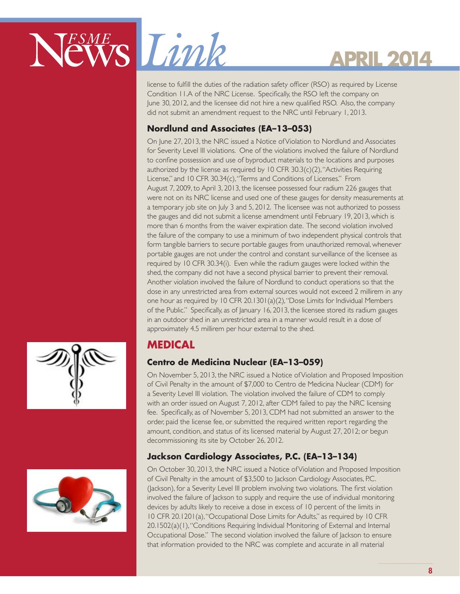

license to fulfill the duties of the radiation safety officer (RSO) as required by License Condition 11.A of the NRC License. Specifically, the RSO left the company on June 30, 2012, and the licensee did not hire a new qualified RSO. Also, the company did not submit an amendment request to the NRC until February 1, 2013.

### **Nordlund and Associates (EA–13–053)**

On June 27, 2013, the NRC issued a Notice of Violation to Nordlund and Associates for Severity Level III violations. One of the violations involved the failure of Nordlund to confine possession and use of byproduct materials to the locations and purposes authorized by the license as required by 10 CFR 30.3(c)(2), "Activities Requiring License," and 10 CFR 30.34(c), "Terms and Conditions of Licenses." From August 7, 2009, to April 3, 2013, the licensee possessed four radium 226 gauges that were not on its NRC license and used one of these gauges for density measurements at a temporary job site on July 3 and 5, 2012. The licensee was not authorized to possess the gauges and did not submit a license amendment until February 19, 2013, which is more than 6 months from the waiver expiration date. The second violation involved the failure of the company to use a minimum of two independent physical controls that form tangible barriers to secure portable gauges from unauthorized removal, whenever portable gauges are not under the control and constant surveillance of the licensee as required by 10 CFR 30.34(i). Even while the radium gauges were locked within the shed, the company did not have a second physical barrier to prevent their removal. Another violation involved the failure of Nordlund to conduct operations so that the dose in any unrestricted area from external sources would not exceed 2 millirem in any one hour as required by 10 CFR 20.1301(a)(2), "Dose Limits for Individual Members of the Public." Specifically, as of January 16, 2013, the licensee stored its radium gauges in an outdoor shed in an unrestricted area in a manner would result in a dose of approximately 4.5 millirem per hour external to the shed.

### **MEDICAL**

### **Centro de Medicina Nuclear (EA–13–059)**

On November 5, 2013, the NRC issued a Notice of Violation and Proposed Imposition of Civil Penalty in the amount of \$7,000 to Centro de Medicina Nuclear (CDM) for a Severity Level III violation. The violation involved the failure of CDM to comply with an order issued on August 7, 2012, after CDM failed to pay the NRC licensing fee. Specifically, as of November 5, 2013, CDM had not submitted an answer to the order, paid the license fee, or submitted the required written report regarding the amount, condition, and status of its licensed material by August 27, 2012; or begun decommissioning its site by October 26, 2012.

### **Jackson Cardiology Associates, P.C. (EA–13–134)**

On October 30, 2013, the NRC issued a Notice of Violation and Proposed Imposition of Civil Penalty in the amount of \$3,500 to Jackson Cardiology Associates, P.C. (Jackson), for a Severity Level III problem involving two violations. The first violation involved the failure of Jackson to supply and require the use of individual monitoring devices by adults likely to receive a dose in excess of 10 percent of the limits in 10 CFR 20.1201(a), "Occupational Dose Limits for Adults," as required by 10 CFR 20.1502(a)(1), "Conditions Requiring Individual Monitoring of External and Internal Occupational Dose." The second violation involved the failure of Jackson to ensure that information provided to the NRC was complete and accurate in all material



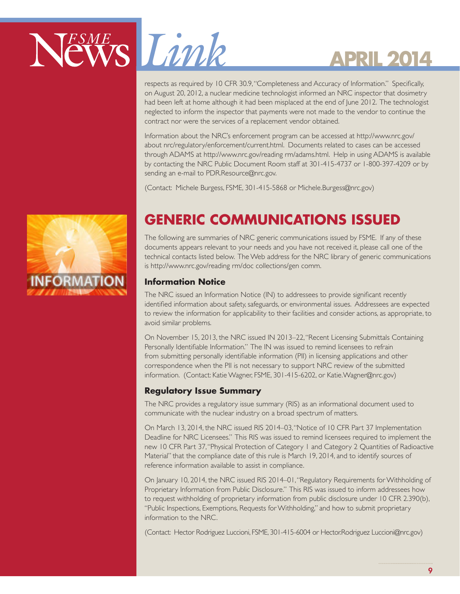

respects as required by 10 CFR 30.9, "Completeness and Accuracy of Information." Specifically, on August 20, 2012, a nuclear medicine technologist informed an NRC inspector that dosimetry had been left at home although it had been misplaced at the end of June 2012. The technologist neglected to inform the inspector that payments were not made to the vendor to continue the contract nor were the services of a replacement vendor obtained.

Information about the NRC's enforcement program can be accessed at http://www.nrc.gov/ about nrc/regulatory/enforcement/current.html. Documents related to cases can be accessed through ADAMS at http://www.nrc.gov/reading rm/adams.html. Help in using ADAMS is available by contacting the NRC Public Document Room staff at 301-415-4737 or 1-800-397-4209 or by sending an e-mail to PDR.Resource@nrc.gov.

(Contact: Michele Burgess, FSME, 301-415-5868 or Michele.Burgess@nrc.gov)



### **GENERIC COMMUNICATIONS ISSUED**

The following are summaries of NRC generic communications issued by FSME. If any of these documents appears relevant to your needs and you have not received it, please call one of the technical contacts listed below. The Web address for the NRC library of generic communications is http://www.nrc.gov/reading rm/doc collections/gen comm.

### **Information Notice**

The NRC issued an Information Notice (IN) to addressees to provide significant recently identified information about safety, safeguards, or environmental issues. Addressees are expected to review the information for applicability to their facilities and consider actions, as appropriate, to avoid similar problems.

On November 15, 2013, the NRC issued IN 2013–22, "Recent Licensing Submittals Containing Personally Identifiable Information." The IN was issued to remind licensees to refrain from submitting personally identifiable information (PII) in licensing applications and other correspondence when the PII is not necessary to support NRC review of the submitted information. (Contact: Katie Wagner, FSME, 301-415-6202, or Katie.Wagner@nrc.gov)

### **Regulatory Issue Summary**

The NRC provides a regulatory issue summary (RIS) as an informational document used to communicate with the nuclear industry on a broad spectrum of matters.

On March 13, 2014, the NRC issued RIS 2014–03, "Notice of 10 CFR Part 37 Implementation Deadline for NRC Licensees." This RIS was issued to remind licensees required to implement the new 10 CFR Part 37, "Physical Protection of Category 1 and Category 2 Quantities of Radioactive Material" that the compliance date of this rule is March 19, 2014, and to identify sources of reference information available to assist in compliance.

On January 10, 2014, the NRC issued RIS 2014–01, "Regulatory Requirements for Withholding of Proprietary Information from Public Disclosure." This RIS was issued to inform addressees how to request withholding of proprietary information from public disclosure under 10 CFR 2.390(b), "Public Inspections, Exemptions, Requests for Withholding," and how to submit proprietary information to the NRC.

(Contact: Hector Rodriguez Luccioni, FSME, 301-415-6004 or Hector.Rodriguez Luccioni@nrc.gov)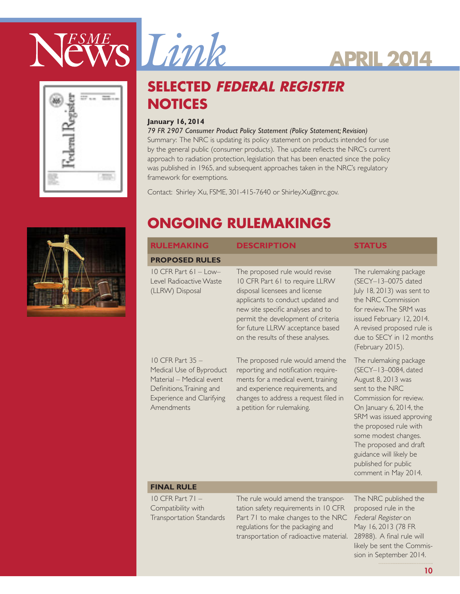



### **SELECTED FEDERAL REGISTER NOTICES**

#### **January 16, 2014**

#### *79 FR 2907 Consumer Product Policy Statement (Policy Statement; Revision)*

Summary: The NRC is updating its policy statement on products intended for use by the general public (consumer products). The update reflects the NRC's current approach to radiation protection, legislation that has been enacted since the policy was published in 1965, and subsequent approaches taken in the NRC's regulatory framework for exemptions.

Contact: Shirley Xu, FSME, 301-415-7640 or Shirley.Xu@nrc.gov.



### **ONGOING RULEMAKINGS**

| <b>PROPOSED RULES</b><br>$10$ CFR Part $61$ – Low–<br>The proposed rule would revise<br>10 CFR Part 61 to require LLRW<br>Level Radioactive Waste<br>(LLRW) Disposal<br>disposal licensees and license<br>applicants to conduct updated and<br>new site specific analyses and to<br>permit the development of criteria                                                             | The rulemaking package<br>(SECY-13-0075 dated<br>July 18, 2013) was sent to<br>the NRC Commission                                                                                                                                                                                                                               |
|------------------------------------------------------------------------------------------------------------------------------------------------------------------------------------------------------------------------------------------------------------------------------------------------------------------------------------------------------------------------------------|---------------------------------------------------------------------------------------------------------------------------------------------------------------------------------------------------------------------------------------------------------------------------------------------------------------------------------|
|                                                                                                                                                                                                                                                                                                                                                                                    |                                                                                                                                                                                                                                                                                                                                 |
| for future LLRW acceptance based<br>on the results of these analyses.                                                                                                                                                                                                                                                                                                              | for review. The SRM was<br>issued February 12, 2014.<br>A revised proposed rule is<br>due to SECY in 12 months<br>(February 2015).                                                                                                                                                                                              |
| $10$ CFR Part 35 $-$<br>The proposed rule would amend the<br>Medical Use of Byproduct<br>reporting and notification require-<br>Material - Medical event<br>ments for a medical event, training<br>and experience requirements, and<br>Definitions, Training and<br>Experience and Clarifying<br>changes to address a request filed in<br>Amendments<br>a petition for rulemaking. | The rulemaking package<br>(SECY-13-0084, dated<br>August 8, 2013 was<br>sent to the NRC<br>Commission for review.<br>On January 6, 2014, the<br>SRM was issued approving<br>the proposed rule with<br>some modest changes.<br>The proposed and draft<br>guidance will likely be<br>published for public<br>comment in May 2014. |

### **FINAL RULE**

10 CFR Part 71 – Compatibility with Transportation Standards The rule would amend the transportation safety requirements in 10 CFR Part 71 to make changes to the NRC regulations for the packaging and transportation of radioactive material. 28988). A final rule will

The NRC published the proposed rule in the Federal Register on May 16, 2013 (78 FR likely be sent the Commission in September 2014.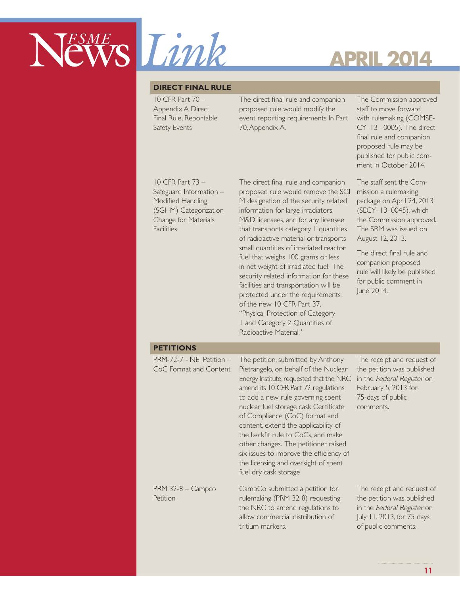

#### **DIRECT FINAL RULE**

10 CFR Part 70 – Appendix A Direct Final Rule, Reportable Safety Events

The direct final rule and companion proposed rule would modify the event reporting requirements In Part 70, Appendix A.

The Commission approved staff to move forward with rulemaking (COMSE-CY–13 –0005). The direct final rule and companion proposed rule may be published for public comment in October 2014.

10 CFR Part 73 – Safeguard Information – Modified Handling (SGI–M) Categorization Change for Materials **Facilities** 

The direct final rule and companion proposed rule would remove the SGI M designation of the security related information for large irradiators, M&D licensees, and for any licensee that transports category 1 quantities of radioactive material or transports small quantities of irradiated reactor fuel that weighs 100 grams or less in net weight of irradiated fuel. The security related information for these facilities and transportation will be protected under the requirements of the new 10 CFR Part 37, "Physical Protection of Category 1 and Category 2 Quantities of Radioactive Material."

The staff sent the Commission a rulemaking package on April 24, 2013 (SECY–13–0045), which the Commission approved. The SRM was issued on August 12, 2013.

The direct final rule and companion proposed rule will likely be published for public comment in June 2014.

#### **PETITIONS**

| $PRM-72-7$ - NEI Petition $-$<br>CoC Format and Content | The petition, submitted by Anthony<br>Pietrangelo, on behalf of the Nuclear<br>Energy Institute, requested that the NRC<br>amend its 10 CFR Part 72 regulations<br>to add a new rule governing spent<br>nuclear fuel storage cask Certificate<br>of Compliance (CoC) format and<br>content, extend the applicability of<br>the backfit rule to CoCs, and make<br>other changes. The petitioner raised<br>six issues to improve the efficiency of<br>the licensing and oversight of spent<br>fuel dry cask storage. | The receipt and request of<br>the petition was published<br>in the Federal Register on<br>February 5, 2013 for<br>75-days of public<br>comments. |
|---------------------------------------------------------|--------------------------------------------------------------------------------------------------------------------------------------------------------------------------------------------------------------------------------------------------------------------------------------------------------------------------------------------------------------------------------------------------------------------------------------------------------------------------------------------------------------------|--------------------------------------------------------------------------------------------------------------------------------------------------|
| $PRM$ 32-8 - Campco<br>Petition                         | CampCo submitted a petition for<br>rulemaking (PRM 32 8) requesting<br>the NRC to amend regulations to<br>allow commercial distribution of<br>tritium markers.                                                                                                                                                                                                                                                                                                                                                     | The receipt and request of<br>the petition was published<br>in the Federal Register on<br>July 11, 2013, for 75 days<br>of public comments.      |